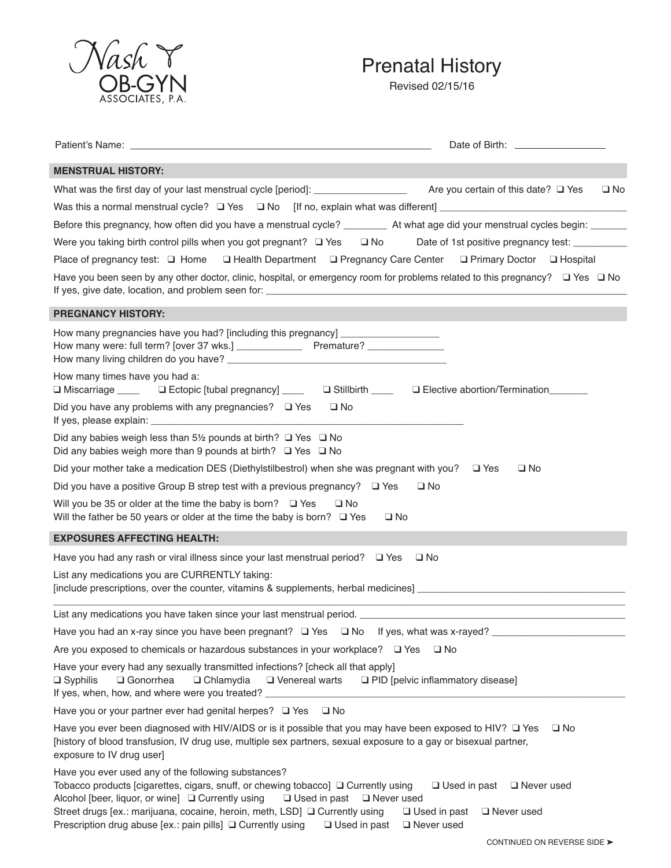

## Prenatal History

Revised 02/15/16

| <b>MENSTRUAL HISTORY:</b>                                                                                                                                                                                                                                                                                                                                                                                    |                                                                                                                        |
|--------------------------------------------------------------------------------------------------------------------------------------------------------------------------------------------------------------------------------------------------------------------------------------------------------------------------------------------------------------------------------------------------------------|------------------------------------------------------------------------------------------------------------------------|
|                                                                                                                                                                                                                                                                                                                                                                                                              | $\square$ No                                                                                                           |
|                                                                                                                                                                                                                                                                                                                                                                                                              |                                                                                                                        |
| Before this pregnancy, how often did you have a menstrual cycle? __________ At what age did your menstrual cycles begin: _______                                                                                                                                                                                                                                                                             |                                                                                                                        |
| Were you taking birth control pills when you got pregnant? $\Box$ Yes $\Box$ No                                                                                                                                                                                                                                                                                                                              | Date of 1st positive pregnancy test: ___________                                                                       |
| Place of pregnancy test: Q Home Q Health Department Q Pregnancy Care Center Q Primary Doctor Q Hospital                                                                                                                                                                                                                                                                                                      |                                                                                                                        |
| Have you been seen by any other doctor, clinic, hospital, or emergency room for problems related to this pregnancy? $\Box$ Yes $\Box$ No                                                                                                                                                                                                                                                                     |                                                                                                                        |
| <b>PREGNANCY HISTORY:</b>                                                                                                                                                                                                                                                                                                                                                                                    |                                                                                                                        |
| How many pregnancies have you had? [including this pregnancy] __________________                                                                                                                                                                                                                                                                                                                             |                                                                                                                        |
| How many times have you had a:<br>□ Miscarriage <u>Dectopic</u> [tubal pregnancy] Described Defective abortion/Termination Defective abortion/Termination                                                                                                                                                                                                                                                    |                                                                                                                        |
| Did you have any problems with any pregnancies? $\Box$ Yes<br>$\square$ No                                                                                                                                                                                                                                                                                                                                   |                                                                                                                        |
| Did any babies weigh less than 5 <sup>1/2</sup> pounds at birth? $\Box$ Yes $\Box$ No<br>Did any babies weigh more than 9 pounds at birth? $\Box$ Yes $\Box$ No                                                                                                                                                                                                                                              |                                                                                                                        |
| Did your mother take a medication DES (Diethylstilbestrol) when she was pregnant with you? $\Box$ Yes                                                                                                                                                                                                                                                                                                        | $\square$ No                                                                                                           |
| Did you have a positive Group B strep test with a previous pregnancy? $\Box$ Yes                                                                                                                                                                                                                                                                                                                             | $\square$ No                                                                                                           |
| Will you be 35 or older at the time the baby is born? $\Box$ Yes<br>$\square$ No<br>Will the father be 50 years or older at the time the baby is born? $\Box$ Yes                                                                                                                                                                                                                                            | $\square$ No                                                                                                           |
| <b>EXPOSURES AFFECTING HEALTH:</b>                                                                                                                                                                                                                                                                                                                                                                           |                                                                                                                        |
| Have you had any rash or viral illness since your last menstrual period? $\Box$ Yes                                                                                                                                                                                                                                                                                                                          | $\square$ No                                                                                                           |
| List any medications you are CURRENTLY taking:                                                                                                                                                                                                                                                                                                                                                               | <u> 1989 - Johann John Harry Harry Harry Harry Harry Harry Harry Harry Harry Harry Harry Harry Harry Harry Harry H</u> |
| List any medications you have taken since your last menstrual period. Last the contract of the contract of the contract of the contract of the contract of the contract of the contract of the contract of the contract of the                                                                                                                                                                               |                                                                                                                        |
| Have you had an x-ray since you have been pregnant? $\Box$ Yes $\Box$ No If yes, what was x-rayed?                                                                                                                                                                                                                                                                                                           |                                                                                                                        |
| Are you exposed to chemicals or hazardous substances in your workplace? $\Box$ Yes                                                                                                                                                                                                                                                                                                                           | □ No                                                                                                                   |
| Have your every had any sexually transmitted infections? [check all that apply]<br>□ Gonorrhea<br>$\Box$ Syphilis<br>$\Box$ Chlamydia<br>□ Venereal warts<br>If yes, when, how, and where were you treated? _                                                                                                                                                                                                | □ PID [pelvic inflammatory disease]                                                                                    |
| Have you or your partner ever had genital herpes? Q Yes<br>$\square$ No                                                                                                                                                                                                                                                                                                                                      |                                                                                                                        |
| Have you ever been diagnosed with HIV/AIDS or is it possible that you may have been exposed to HIV? $\Box$ Yes<br>[history of blood transfusion, IV drug use, multiple sex partners, sexual exposure to a gay or bisexual partner,<br>exposure to IV drug user]                                                                                                                                              | $\square$ No                                                                                                           |
| Have you ever used any of the following substances?<br>Tobacco products [cigarettes, cigars, snuff, or chewing tobacco] □ Currently using<br>Alcohol [beer, liquor, or wine] □ Currently using<br>$\Box$ Used in past $\Box$ Never used<br>Street drugs [ex.: marijuana, cocaine, heroin, meth, LSD] □ Currently using<br>Prescription drug abuse [ex.: pain pills] □ Currently using<br>$\Box$ Used in past | $\Box$ Used in past<br>□ Never used<br>$\Box$ Used in past<br>$\Box$ Never used<br>$\Box$ Never used                   |